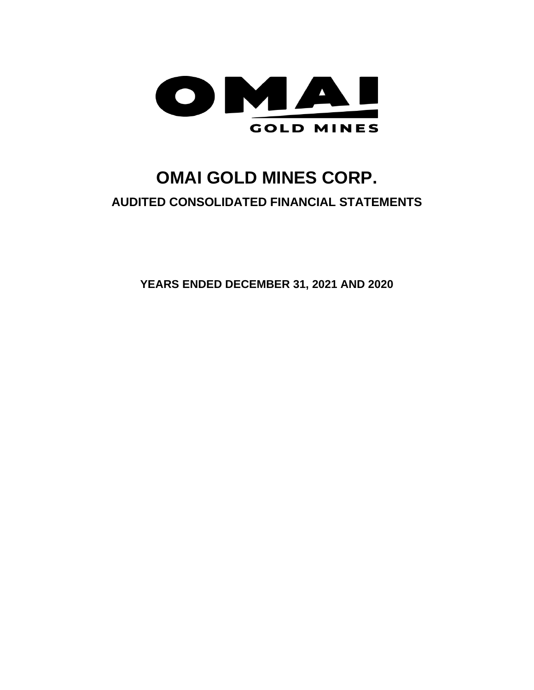

# **OMAI GOLD MINES CORP. AUDITED CONSOLIDATED FINANCIAL STATEMENTS**

**YEARS ENDED DECEMBER 31, 2021 AND 2020**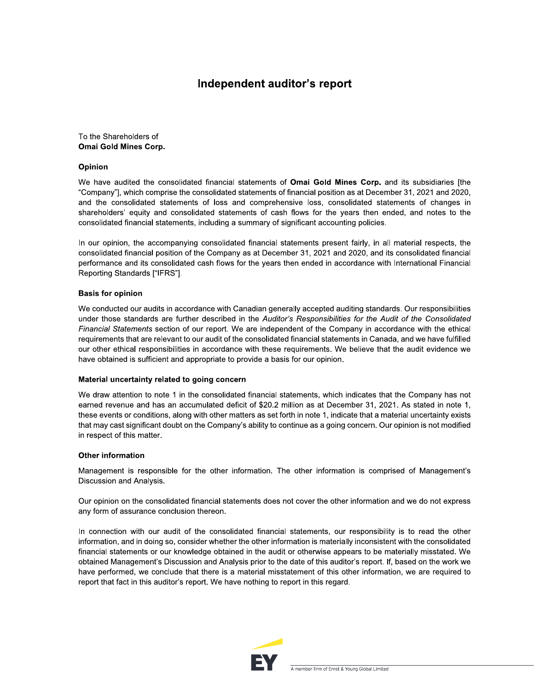## Independent auditor's report

To the Shareholders of **Omai Gold Mines Corp.** 

#### Opinion

We have audited the consolidated financial statements of Omai Gold Mines Corp. and its subsidiaries [the "Company"], which comprise the consolidated statements of financial position as at December 31, 2021 and 2020, and the consolidated statements of loss and comprehensive loss, consolidated statements of changes in shareholders' equity and consolidated statements of cash flows for the years then ended, and notes to the consolidated financial statements, including a summary of significant accounting policies.

In our opinion, the accompanying consolidated financial statements present fairly, in all material respects, the consolidated financial position of the Company as at December 31, 2021 and 2020, and its consolidated financial performance and its consolidated cash flows for the years then ended in accordance with International Financial Reporting Standards ["IFRS"].

#### **Basis for opinion**

We conducted our audits in accordance with Canadian generally accepted auditing standards. Our responsibilities under those standards are further described in the Auditor's Responsibilities for the Audit of the Consolidated Financial Statements section of our report. We are independent of the Company in accordance with the ethical requirements that are relevant to our audit of the consolidated financial statements in Canada, and we have fulfilled our other ethical responsibilities in accordance with these requirements. We believe that the audit evidence we have obtained is sufficient and appropriate to provide a basis for our opinion.

#### Material uncertainty related to going concern

We draw attention to note 1 in the consolidated financial statements, which indicates that the Company has not earned revenue and has an accumulated deficit of \$20.2 million as at December 31, 2021. As stated in note 1, these events or conditions, along with other matters as set forth in note 1, indicate that a material uncertainty exists that may cast significant doubt on the Company's ability to continue as a going concern. Our opinion is not modified in respect of this matter.

#### **Other information**

Management is responsible for the other information. The other information is comprised of Management's Discussion and Analysis.

Our opinion on the consolidated financial statements does not cover the other information and we do not express any form of assurance conclusion thereon.

In connection with our audit of the consolidated financial statements, our responsibility is to read the other information, and in doing so, consider whether the other information is materially inconsistent with the consolidated financial statements or our knowledge obtained in the audit or otherwise appears to be materially misstated. We obtained Management's Discussion and Analysis prior to the date of this auditor's report. If, based on the work we have performed, we conclude that there is a material misstatement of this other information, we are required to report that fact in this auditor's report. We have nothing to report in this regard.

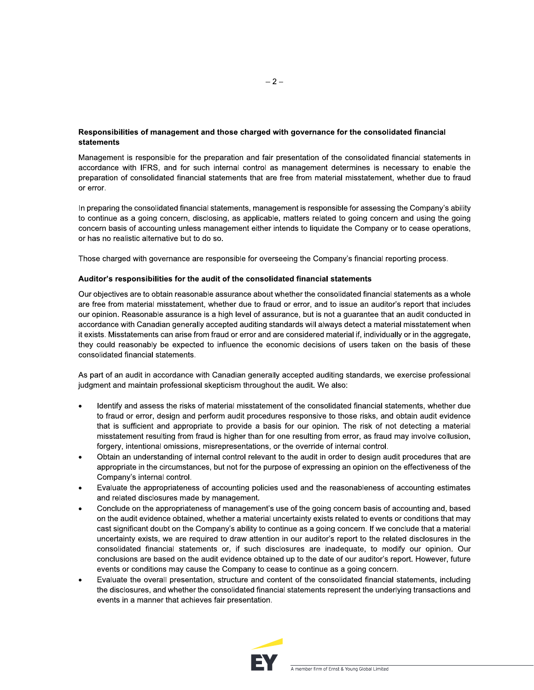### Responsibilities of management and those charged with governance for the consolidated financial statements

Management is responsible for the preparation and fair presentation of the consolidated financial statements in accordance with IFRS, and for such internal control as management determines is necessary to enable the preparation of consolidated financial statements that are free from material misstatement, whether due to fraud or error.

 $-2-$ 

In preparing the consolidated financial statements, management is responsible for assessing the Company's ability to continue as a going concern, disclosing, as applicable, matters related to going concern and using the going concern basis of accounting unless management either intends to liquidate the Company or to cease operations, or has no realistic alternative but to do so.

Those charged with governance are responsible for overseeing the Company's financial reporting process.

#### Auditor's responsibilities for the audit of the consolidated financial statements

Our objectives are to obtain reasonable assurance about whether the consolidated financial statements as a whole are free from material misstatement, whether due to fraud or error, and to issue an auditor's report that includes our opinion. Reasonable assurance is a high level of assurance, but is not a guarantee that an audit conducted in accordance with Canadian generally accepted auditing standards will always detect a material misstatement when it exists. Misstatements can arise from fraud or error and are considered material if, individually or in the aggregate, they could reasonably be expected to influence the economic decisions of users taken on the basis of these consolidated financial statements.

As part of an audit in accordance with Canadian generally accepted auditing standards, we exercise professional judgment and maintain professional skepticism throughout the audit. We also:

- Identify and assess the risks of material misstatement of the consolidated financial statements, whether due to fraud or error, design and perform audit procedures responsive to those risks, and obtain audit evidence that is sufficient and appropriate to provide a basis for our opinion. The risk of not detecting a material misstatement resulting from fraud is higher than for one resulting from error, as fraud may involve collusion, forgery, intentional omissions, misrepresentations, or the override of internal control.
- Obtain an understanding of internal control relevant to the audit in order to design audit procedures that are  $\bullet$ appropriate in the circumstances, but not for the purpose of expressing an opinion on the effectiveness of the Company's internal control.
- Evaluate the appropriateness of accounting policies used and the reasonableness of accounting estimates  $\bullet$ and related disclosures made by management.
- Conclude on the appropriateness of management's use of the going concern basis of accounting and, based on the audit evidence obtained, whether a material uncertainty exists related to events or conditions that may cast significant doubt on the Company's ability to continue as a going concern. If we conclude that a material uncertainty exists, we are required to draw attention in our auditor's report to the related disclosures in the consolidated financial statements or, if such disclosures are inadequate, to modify our opinion. Our conclusions are based on the audit evidence obtained up to the date of our auditor's report. However, future events or conditions may cause the Company to cease to continue as a going concern.
- Evaluate the overall presentation, structure and content of the consolidated financial statements, including  $\bullet$ the disclosures, and whether the consolidated financial statements represent the underlying transactions and events in a manner that achieves fair presentation.

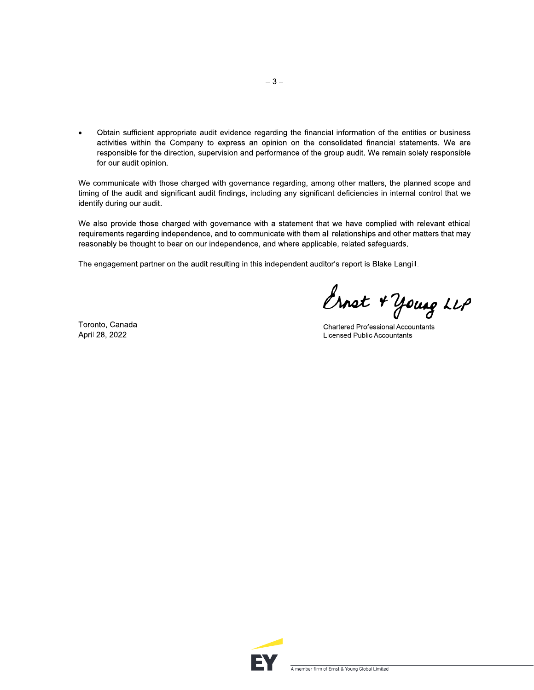Obtain sufficient appropriate audit evidence regarding the financial information of the entities or business  $\bullet$ activities within the Company to express an opinion on the consolidated financial statements. We are responsible for the direction, supervision and performance of the group audit. We remain solely responsible for our audit opinion.

We communicate with those charged with governance regarding, among other matters, the planned scope and timing of the audit and significant audit findings, including any significant deficiencies in internal control that we identify during our audit.

We also provide those charged with governance with a statement that we have complied with relevant ethical requirements regarding independence, and to communicate with them all relationships and other matters that may reasonably be thought to bear on our independence, and where applicable, related safeguards.

The engagement partner on the audit resulting in this independent auditor's report is Blake Langill.

Ernet + Young LLP

Toronto, Canada April 28, 2022

**Chartered Professional Accountants** Licensed Public Accountants

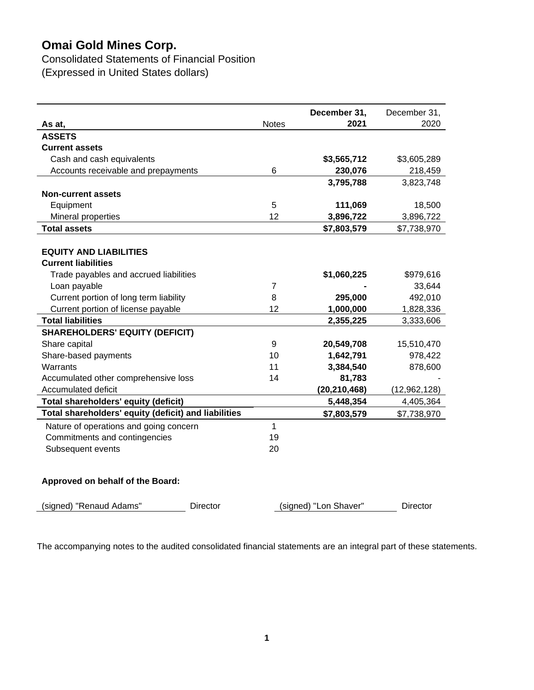Consolidated Statements of Financial Position (Expressed in United States dollars)

|                                                      |                | December 31,          | December 31,   |
|------------------------------------------------------|----------------|-----------------------|----------------|
| As at,                                               | <b>Notes</b>   | 2021                  | 2020           |
| <b>ASSETS</b>                                        |                |                       |                |
| <b>Current assets</b>                                |                |                       |                |
| Cash and cash equivalents                            |                | \$3,565,712           | \$3,605,289    |
| Accounts receivable and prepayments                  | 6              | 230,076               | 218,459        |
|                                                      |                | 3,795,788             | 3,823,748      |
| <b>Non-current assets</b>                            |                |                       |                |
| Equipment                                            | 5              | 111,069               | 18,500         |
| Mineral properties                                   | 12             | 3,896,722             | 3,896,722      |
| <b>Total assets</b>                                  |                | \$7,803,579           | \$7,738,970    |
|                                                      |                |                       |                |
| <b>EQUITY AND LIABILITIES</b>                        |                |                       |                |
| <b>Current liabilities</b>                           |                |                       |                |
| Trade payables and accrued liabilities               |                | \$1,060,225           | \$979,616      |
| Loan payable                                         | $\overline{7}$ |                       | 33,644         |
| Current portion of long term liability               | 8              | 295,000               | 492,010        |
| Current portion of license payable                   | 12             | 1,000,000             | 1,828,336      |
| <b>Total liabilities</b>                             |                | 2,355,225             | 3,333,606      |
| <b>SHAREHOLDERS' EQUITY (DEFICIT)</b>                |                |                       |                |
| Share capital                                        | 9              | 20,549,708            | 15,510,470     |
| Share-based payments                                 | 10             | 1,642,791             | 978,422        |
| Warrants                                             | 11             | 3,384,540             | 878,600        |
| Accumulated other comprehensive loss                 | 14             | 81,783                |                |
| Accumulated deficit                                  |                | (20, 210, 468)        | (12, 962, 128) |
| <b>Total shareholders' equity (deficit)</b>          |                | 5,448,354             | 4,405,364      |
| Total shareholders' equity (deficit) and liabilities |                | \$7,803,579           | \$7,738,970    |
| Nature of operations and going concern               | 1              |                       |                |
| Commitments and contingencies                        | 19             |                       |                |
| Subsequent events                                    | 20             |                       |                |
| Approved on behalf of the Board:                     |                |                       |                |
| (signed) "Renaud Adams"<br>Director                  |                | (signed) "Lon Shaver" | Director       |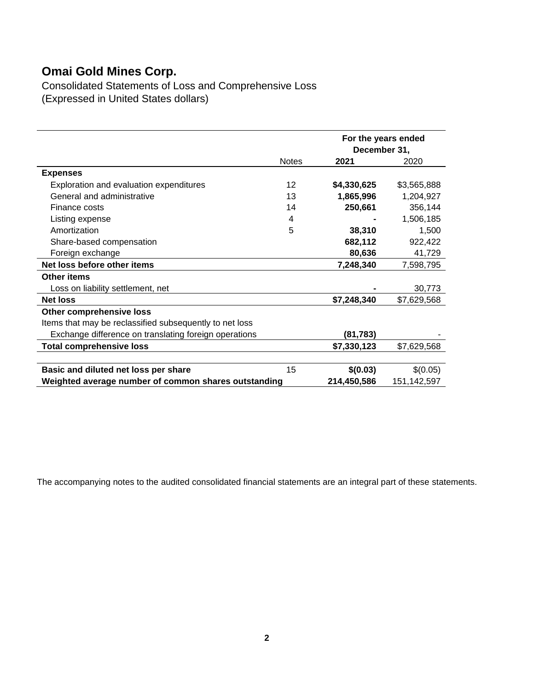Consolidated Statements of Loss and Comprehensive Loss (Expressed in United States dollars)

|                                                         |              | For the years ended<br>December 31, |             |
|---------------------------------------------------------|--------------|-------------------------------------|-------------|
|                                                         | <b>Notes</b> | 2021                                | 2020        |
| <b>Expenses</b>                                         |              |                                     |             |
| Exploration and evaluation expenditures                 | 12           | \$4,330,625                         | \$3,565,888 |
| General and administrative                              | 13           | 1,865,996                           | 1,204,927   |
| Finance costs                                           | 14           | 250,661                             | 356,144     |
| Listing expense                                         | 4            |                                     | 1,506,185   |
| Amortization                                            | 5            | 38,310                              | 1,500       |
| Share-based compensation                                |              | 682,112                             | 922,422     |
| Foreign exchange                                        |              | 80,636                              | 41,729      |
| Net loss before other items                             |              | 7,248,340                           | 7,598,795   |
| <b>Other items</b>                                      |              |                                     |             |
| Loss on liability settlement, net                       |              |                                     | 30,773      |
| <b>Net loss</b>                                         |              | \$7,248,340                         | \$7,629,568 |
| <b>Other comprehensive loss</b>                         |              |                                     |             |
| Items that may be reclassified subsequently to net loss |              |                                     |             |
| Exchange difference on translating foreign operations   |              | (81, 783)                           |             |
| <b>Total comprehensive loss</b>                         |              | \$7,330,123                         | \$7,629,568 |
|                                                         |              |                                     |             |
| Basic and diluted net loss per share                    | 15           | \$(0.03)                            | \$(0.05)    |
| Weighted average number of common shares outstanding    |              | 214,450,586                         | 151,142,597 |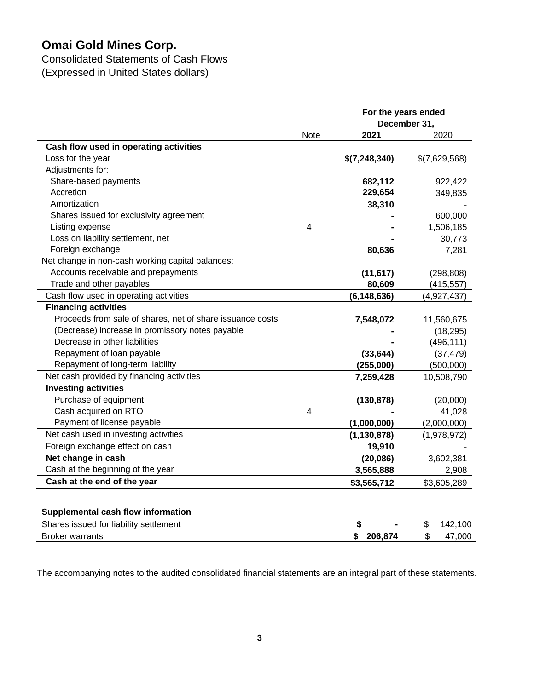Consolidated Statements of Cash Flows (Expressed in United States dollars)

|                                                           |             | For the years ended<br>December 31, |               |
|-----------------------------------------------------------|-------------|-------------------------------------|---------------|
|                                                           | <b>Note</b> | 2021                                | 2020          |
| Cash flow used in operating activities                    |             |                                     |               |
| Loss for the year                                         |             | \$(7,248,340)                       | \$(7,629,568) |
| Adjustments for:                                          |             |                                     |               |
| Share-based payments                                      |             | 682,112                             | 922,422       |
| Accretion                                                 |             | 229,654                             | 349,835       |
| Amortization                                              |             | 38,310                              |               |
| Shares issued for exclusivity agreement                   |             |                                     | 600,000       |
| Listing expense                                           | 4           |                                     | 1,506,185     |
| Loss on liability settlement, net                         |             |                                     | 30,773        |
| Foreign exchange                                          |             | 80,636                              | 7,281         |
| Net change in non-cash working capital balances:          |             |                                     |               |
| Accounts receivable and prepayments                       |             | (11, 617)                           | (298, 808)    |
| Trade and other payables                                  |             | 80,609                              | (415, 557)    |
| Cash flow used in operating activities                    |             | (6, 148, 636)                       | (4,927,437)   |
| <b>Financing activities</b>                               |             |                                     |               |
| Proceeds from sale of shares, net of share issuance costs |             | 7,548,072                           | 11,560,675    |
| (Decrease) increase in promissory notes payable           |             |                                     | (18, 295)     |
| Decrease in other liabilities                             |             |                                     | (496, 111)    |
| Repayment of loan payable                                 |             | (33, 644)                           | (37, 479)     |
| Repayment of long-term liability                          |             | (255,000)                           | (500,000)     |
| Net cash provided by financing activities                 |             | 7,259,428                           | 10,508,790    |
| <b>Investing activities</b>                               |             |                                     |               |
| Purchase of equipment                                     |             | (130, 878)                          | (20,000)      |
| Cash acquired on RTO                                      | 4           |                                     | 41,028        |
| Payment of license payable                                |             | (1,000,000)                         | (2,000,000)   |
| Net cash used in investing activities                     |             | (1, 130, 878)                       | (1,978,972)   |
| Foreign exchange effect on cash                           |             | 19,910                              |               |
| Net change in cash                                        |             | (20, 086)                           | 3,602,381     |
| Cash at the beginning of the year                         |             | 3,565,888                           | 2,908         |
| Cash at the end of the year                               |             | \$3,565,712                         | \$3,605,289   |
|                                                           |             |                                     |               |
| Supplemental cash flow information                        |             |                                     |               |
| Shares issued for liability settlement                    |             | \$                                  | 142,100<br>\$ |
| <b>Broker warrants</b>                                    |             | \$<br>206,874                       | \$<br>47,000  |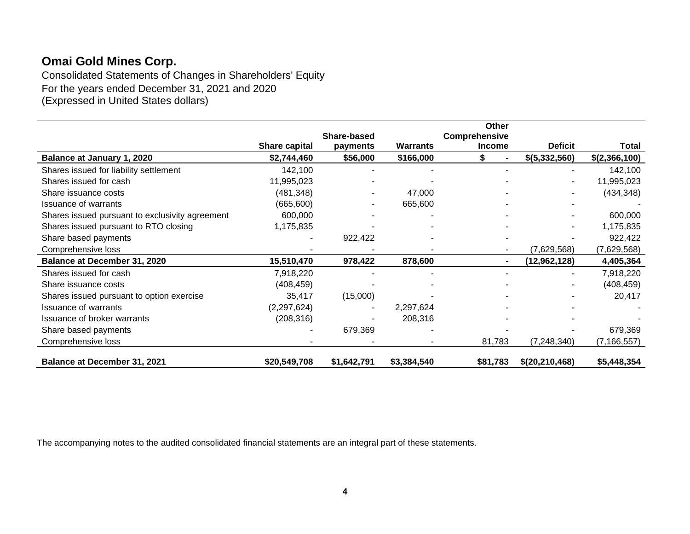Consolidated Statements of Changes in Shareholders' Equity For the years ended December 31, 2021 and 2020 (Expressed in United States dollars)

|                                                 |                      | Share-based              |             | Other<br>Comprehensive |                  |               |
|-------------------------------------------------|----------------------|--------------------------|-------------|------------------------|------------------|---------------|
|                                                 | <b>Share capital</b> | payments                 | Warrants    | <b>Income</b>          | <b>Deficit</b>   | Total         |
| <b>Balance at January 1, 2020</b>               | \$2,744,460          | \$56,000                 | \$166,000   |                        | \$(5,332,560)    | \$(2,366,100) |
| Shares issued for liability settlement          | 142,100              |                          |             |                        |                  | 142,100       |
| Shares issued for cash                          | 11,995,023           |                          |             |                        |                  | 11,995,023    |
| Share issuance costs                            | (481, 348)           |                          | 47,000      |                        |                  | (434, 348)    |
| <b>Issuance of warrants</b>                     | (665, 600)           |                          | 665,600     |                        |                  |               |
| Shares issued pursuant to exclusivity agreement | 600,000              |                          |             |                        |                  | 600,000       |
| Shares issued pursuant to RTO closing           | 1,175,835            |                          |             |                        |                  | 1,175,835     |
| Share based payments                            |                      | 922,422                  |             |                        |                  | 922,422       |
| Comprehensive loss                              |                      |                          |             |                        | (7,629,568)      | (7,629,568)   |
| Balance at December 31, 2020                    | 15,510,470           | 978,422                  | 878,600     |                        | (12,962,128)     | 4,405,364     |
| Shares issued for cash                          | 7,918,220            |                          |             |                        |                  | 7,918,220     |
| Share issuance costs                            | (408, 459)           |                          |             |                        |                  | (408, 459)    |
| Shares issued pursuant to option exercise       | 35,417               | (15,000)                 |             |                        |                  | 20,417        |
| <b>Issuance of warrants</b>                     | (2, 297, 624)        | $\overline{\phantom{a}}$ | 2,297,624   |                        |                  |               |
| <b>Issuance of broker warrants</b>              | (208, 316)           |                          | 208,316     |                        |                  |               |
| Share based payments                            |                      | 679,369                  |             |                        |                  | 679,369       |
| Comprehensive loss                              |                      |                          |             | 81,783                 | (7, 248, 340)    | (7, 166, 557) |
| <b>Balance at December 31, 2021</b>             | \$20,549,708         | \$1,642,791              | \$3,384,540 | \$81,783               | \$(20, 210, 468) | \$5,448,354   |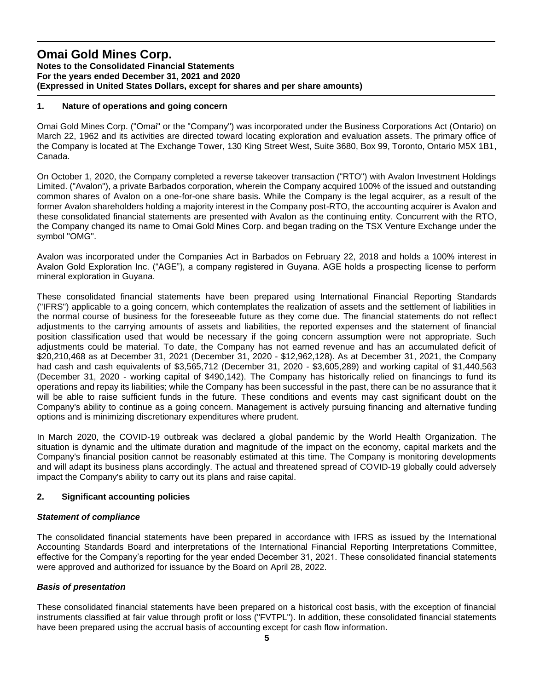## **1. Nature of operations and going concern**

Omai Gold Mines Corp. ("Omai" or the "Company") was incorporated under the Business Corporations Act (Ontario) on March 22, 1962 and its activities are directed toward locating exploration and evaluation assets. The primary office of the Company is located at The Exchange Tower, 130 King Street West, Suite 3680, Box 99, Toronto, Ontario M5X 1B1, Canada.

On October 1, 2020, the Company completed a reverse takeover transaction ("RTO") with Avalon Investment Holdings Limited. ("Avalon"), a private Barbados corporation, wherein the Company acquired 100% of the issued and outstanding common shares of Avalon on a one-for-one share basis. While the Company is the legal acquirer, as a result of the former Avalon shareholders holding a majority interest in the Company post-RTO, the accounting acquirer is Avalon and these consolidated financial statements are presented with Avalon as the continuing entity. Concurrent with the RTO, the Company changed its name to Omai Gold Mines Corp. and began trading on the TSX Venture Exchange under the symbol "OMG".

Avalon was incorporated under the Companies Act in Barbados on February 22, 2018 and holds a 100% interest in Avalon Gold Exploration Inc. ("AGE"), a company registered in Guyana. AGE holds a prospecting license to perform mineral exploration in Guyana.

These consolidated financial statements have been prepared using International Financial Reporting Standards ("IFRS") applicable to a going concern, which contemplates the realization of assets and the settlement of liabilities in the normal course of business for the foreseeable future as they come due. The financial statements do not reflect adjustments to the carrying amounts of assets and liabilities, the reported expenses and the statement of financial position classification used that would be necessary if the going concern assumption were not appropriate. Such adjustments could be material. To date, the Company has not earned revenue and has an accumulated deficit of \$20,210,468 as at December 31, 2021 (December 31, 2020 - \$12,962,128). As at December 31, 2021, the Company had cash and cash equivalents of \$3,565,712 (December 31, 2020 - \$3,605,289) and working capital of \$1,440,563 (December 31, 2020 - working capital of \$490,142). The Company has historically relied on financings to fund its operations and repay its liabilities; while the Company has been successful in the past, there can be no assurance that it will be able to raise sufficient funds in the future. These conditions and events may cast significant doubt on the Company's ability to continue as a going concern. Management is actively pursuing financing and alternative funding options and is minimizing discretionary expenditures where prudent.

In March 2020, the COVID-19 outbreak was declared a global pandemic by the World Health Organization. The situation is dynamic and the ultimate duration and magnitude of the impact on the economy, capital markets and the Company's financial position cannot be reasonably estimated at this time. The Company is monitoring developments and will adapt its business plans accordingly. The actual and threatened spread of COVID-19 globally could adversely impact the Company's ability to carry out its plans and raise capital.

### **2. Significant accounting policies**

### *Statement of compliance*

The consolidated financial statements have been prepared in accordance with IFRS as issued by the International Accounting Standards Board and interpretations of the International Financial Reporting Interpretations Committee, effective for the Company's reporting for the year ended December 31, 2021. These consolidated financial statements were approved and authorized for issuance by the Board on April 28, 2022.

### *Basis of presentation*

These consolidated financial statements have been prepared on a historical cost basis, with the exception of financial instruments classified at fair value through profit or loss ("FVTPL"). In addition, these consolidated financial statements have been prepared using the accrual basis of accounting except for cash flow information.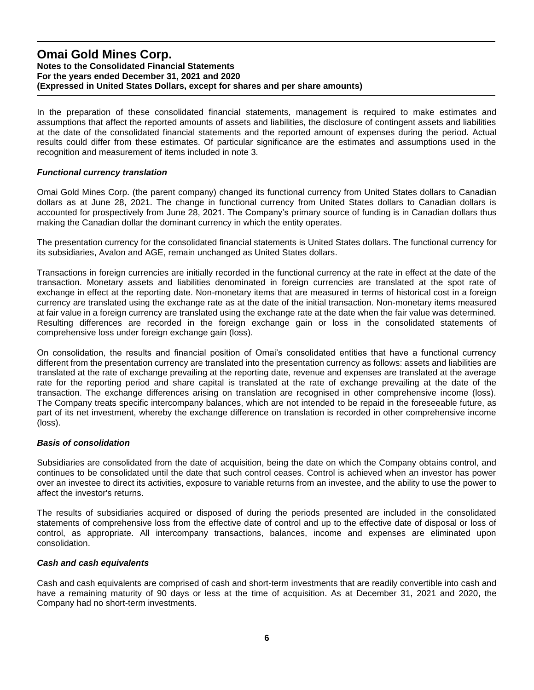In the preparation of these consolidated financial statements, management is required to make estimates and assumptions that affect the reported amounts of assets and liabilities, the disclosure of contingent assets and liabilities at the date of the consolidated financial statements and the reported amount of expenses during the period. Actual results could differ from these estimates. Of particular significance are the estimates and assumptions used in the recognition and measurement of items included in note 3.

### *Functional currency translation*

Omai Gold Mines Corp. (the parent company) changed its functional currency from United States dollars to Canadian dollars as at June 28, 2021. The change in functional currency from United States dollars to Canadian dollars is accounted for prospectively from June 28, 2021. The Company's primary source of funding is in Canadian dollars thus making the Canadian dollar the dominant currency in which the entity operates.

The presentation currency for the consolidated financial statements is United States dollars. The functional currency for its subsidiaries, Avalon and AGE, remain unchanged as United States dollars.

Transactions in foreign currencies are initially recorded in the functional currency at the rate in effect at the date of the transaction. Monetary assets and liabilities denominated in foreign currencies are translated at the spot rate of exchange in effect at the reporting date. Non-monetary items that are measured in terms of historical cost in a foreign currency are translated using the exchange rate as at the date of the initial transaction. Non-monetary items measured at fair value in a foreign currency are translated using the exchange rate at the date when the fair value was determined. Resulting differences are recorded in the foreign exchange gain or loss in the consolidated statements of comprehensive loss under foreign exchange gain (loss).

On consolidation, the results and financial position of Omai's consolidated entities that have a functional currency different from the presentation currency are translated into the presentation currency as follows: assets and liabilities are translated at the rate of exchange prevailing at the reporting date, revenue and expenses are translated at the average rate for the reporting period and share capital is translated at the rate of exchange prevailing at the date of the transaction. The exchange differences arising on translation are recognised in other comprehensive income (loss). The Company treats specific intercompany balances, which are not intended to be repaid in the foreseeable future, as part of its net investment, whereby the exchange difference on translation is recorded in other comprehensive income (loss).

### *Basis of consolidation*

Subsidiaries are consolidated from the date of acquisition, being the date on which the Company obtains control, and continues to be consolidated until the date that such control ceases. Control is achieved when an investor has power over an investee to direct its activities, exposure to variable returns from an investee, and the ability to use the power to affect the investor's returns.

The results of subsidiaries acquired or disposed of during the periods presented are included in the consolidated statements of comprehensive loss from the effective date of control and up to the effective date of disposal or loss of control, as appropriate. All intercompany transactions, balances, income and expenses are eliminated upon consolidation.

### *Cash and cash equivalents*

Cash and cash equivalents are comprised of cash and short-term investments that are readily convertible into cash and have a remaining maturity of 90 days or less at the time of acquisition. As at December 31, 2021 and 2020, the Company had no short-term investments.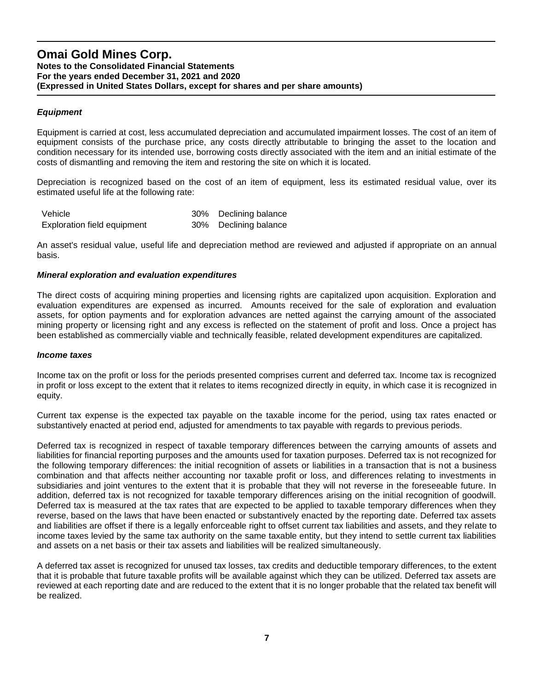## *Equipment*

Equipment is carried at cost, less accumulated depreciation and accumulated impairment losses. The cost of an item of equipment consists of the purchase price, any costs directly attributable to bringing the asset to the location and condition necessary for its intended use, borrowing costs directly associated with the item and an initial estimate of the costs of dismantling and removing the item and restoring the site on which it is located.

Depreciation is recognized based on the cost of an item of equipment, less its estimated residual value, over its estimated useful life at the following rate:

| Vehicle                     | 30% Declining balance |
|-----------------------------|-----------------------|
| Exploration field equipment | 30% Declining balance |

An asset's residual value, useful life and depreciation method are reviewed and adjusted if appropriate on an annual basis.

#### *Mineral exploration and evaluation expenditures*

The direct costs of acquiring mining properties and licensing rights are capitalized upon acquisition. Exploration and evaluation expenditures are expensed as incurred. Amounts received for the sale of exploration and evaluation assets, for option payments and for exploration advances are netted against the carrying amount of the associated mining property or licensing right and any excess is reflected on the statement of profit and loss. Once a project has been established as commercially viable and technically feasible, related development expenditures are capitalized.

#### *Income taxes*

Income tax on the profit or loss for the periods presented comprises current and deferred tax. Income tax is recognized in profit or loss except to the extent that it relates to items recognized directly in equity, in which case it is recognized in equity.

Current tax expense is the expected tax payable on the taxable income for the period, using tax rates enacted or substantively enacted at period end, adjusted for amendments to tax payable with regards to previous periods.

Deferred tax is recognized in respect of taxable temporary differences between the carrying amounts of assets and liabilities for financial reporting purposes and the amounts used for taxation purposes. Deferred tax is not recognized for the following temporary differences: the initial recognition of assets or liabilities in a transaction that is not a business combination and that affects neither accounting nor taxable profit or loss, and differences relating to investments in subsidiaries and joint ventures to the extent that it is probable that they will not reverse in the foreseeable future. In addition, deferred tax is not recognized for taxable temporary differences arising on the initial recognition of goodwill. Deferred tax is measured at the tax rates that are expected to be applied to taxable temporary differences when they reverse, based on the laws that have been enacted or substantively enacted by the reporting date. Deferred tax assets and liabilities are offset if there is a legally enforceable right to offset current tax liabilities and assets, and they relate to income taxes levied by the same tax authority on the same taxable entity, but they intend to settle current tax liabilities and assets on a net basis or their tax assets and liabilities will be realized simultaneously.

A deferred tax asset is recognized for unused tax losses, tax credits and deductible temporary differences, to the extent that it is probable that future taxable profits will be available against which they can be utilized. Deferred tax assets are reviewed at each reporting date and are reduced to the extent that it is no longer probable that the related tax benefit will be realized.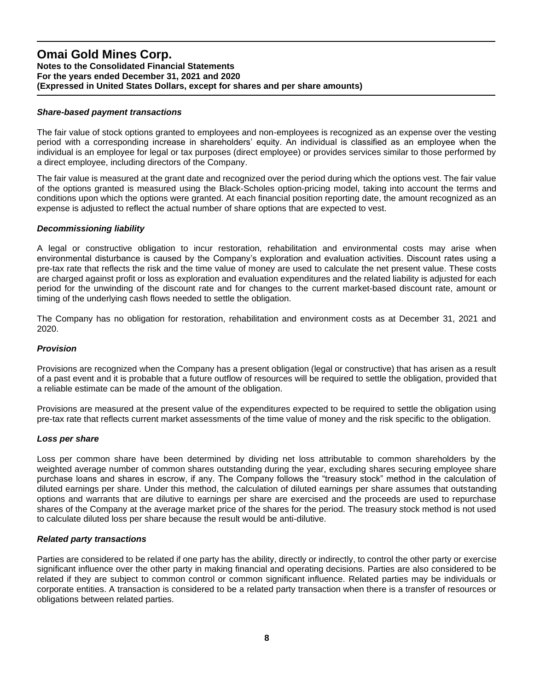#### *Share-based payment transactions*

The fair value of stock options granted to employees and non-employees is recognized as an expense over the vesting period with a corresponding increase in shareholders' equity. An individual is classified as an employee when the individual is an employee for legal or tax purposes (direct employee) or provides services similar to those performed by a direct employee, including directors of the Company.

The fair value is measured at the grant date and recognized over the period during which the options vest. The fair value of the options granted is measured using the Black-Scholes option-pricing model, taking into account the terms and conditions upon which the options were granted. At each financial position reporting date, the amount recognized as an expense is adjusted to reflect the actual number of share options that are expected to vest.

#### *Decommissioning liability*

A legal or constructive obligation to incur restoration, rehabilitation and environmental costs may arise when environmental disturbance is caused by the Company's exploration and evaluation activities. Discount rates using a pre-tax rate that reflects the risk and the time value of money are used to calculate the net present value. These costs are charged against profit or loss as exploration and evaluation expenditures and the related liability is adjusted for each period for the unwinding of the discount rate and for changes to the current market-based discount rate, amount or timing of the underlying cash flows needed to settle the obligation.

The Company has no obligation for restoration, rehabilitation and environment costs as at December 31, 2021 and 2020.

#### *Provision*

Provisions are recognized when the Company has a present obligation (legal or constructive) that has arisen as a result of a past event and it is probable that a future outflow of resources will be required to settle the obligation, provided that a reliable estimate can be made of the amount of the obligation.

Provisions are measured at the present value of the expenditures expected to be required to settle the obligation using pre-tax rate that reflects current market assessments of the time value of money and the risk specific to the obligation.

#### *Loss per share*

Loss per common share have been determined by dividing net loss attributable to common shareholders by the weighted average number of common shares outstanding during the year, excluding shares securing employee share purchase loans and shares in escrow, if any. The Company follows the "treasury stock" method in the calculation of diluted earnings per share. Under this method, the calculation of diluted earnings per share assumes that outstanding options and warrants that are dilutive to earnings per share are exercised and the proceeds are used to repurchase shares of the Company at the average market price of the shares for the period. The treasury stock method is not used to calculate diluted loss per share because the result would be anti-dilutive.

#### *Related party transactions*

Parties are considered to be related if one party has the ability, directly or indirectly, to control the other party or exercise significant influence over the other party in making financial and operating decisions. Parties are also considered to be related if they are subject to common control or common significant influence. Related parties may be individuals or corporate entities. A transaction is considered to be a related party transaction when there is a transfer of resources or obligations between related parties.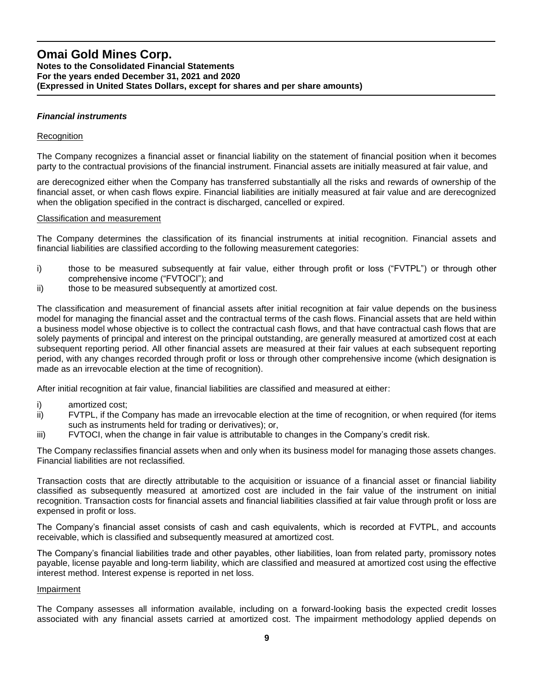### *Financial instruments*

#### **Recognition**

The Company recognizes a financial asset or financial liability on the statement of financial position when it becomes party to the contractual provisions of the financial instrument. Financial assets are initially measured at fair value, and

are derecognized either when the Company has transferred substantially all the risks and rewards of ownership of the financial asset, or when cash flows expire. Financial liabilities are initially measured at fair value and are derecognized when the obligation specified in the contract is discharged, cancelled or expired.

#### Classification and measurement

The Company determines the classification of its financial instruments at initial recognition. Financial assets and financial liabilities are classified according to the following measurement categories:

- i) those to be measured subsequently at fair value, either through profit or loss ("FVTPL") or through other comprehensive income ("FVTOCI"); and
- ii) those to be measured subsequently at amortized cost.

The classification and measurement of financial assets after initial recognition at fair value depends on the business model for managing the financial asset and the contractual terms of the cash flows. Financial assets that are held within a business model whose objective is to collect the contractual cash flows, and that have contractual cash flows that are solely payments of principal and interest on the principal outstanding, are generally measured at amortized cost at each subsequent reporting period. All other financial assets are measured at their fair values at each subsequent reporting period, with any changes recorded through profit or loss or through other comprehensive income (which designation is made as an irrevocable election at the time of recognition).

After initial recognition at fair value, financial liabilities are classified and measured at either:

- i) amortized cost;
- ii) FVTPL, if the Company has made an irrevocable election at the time of recognition, or when required (for items such as instruments held for trading or derivatives); or,
- iii) FVTOCI, when the change in fair value is attributable to changes in the Company's credit risk.

The Company reclassifies financial assets when and only when its business model for managing those assets changes. Financial liabilities are not reclassified.

Transaction costs that are directly attributable to the acquisition or issuance of a financial asset or financial liability classified as subsequently measured at amortized cost are included in the fair value of the instrument on initial recognition. Transaction costs for financial assets and financial liabilities classified at fair value through profit or loss are expensed in profit or loss.

The Company's financial asset consists of cash and cash equivalents, which is recorded at FVTPL, and accounts receivable, which is classified and subsequently measured at amortized cost.

The Company's financial liabilities trade and other payables, other liabilities, loan from related party, promissory notes payable, license payable and long-term liability, which are classified and measured at amortized cost using the effective interest method. Interest expense is reported in net loss.

#### Impairment

The Company assesses all information available, including on a forward-looking basis the expected credit losses associated with any financial assets carried at amortized cost. The impairment methodology applied depends on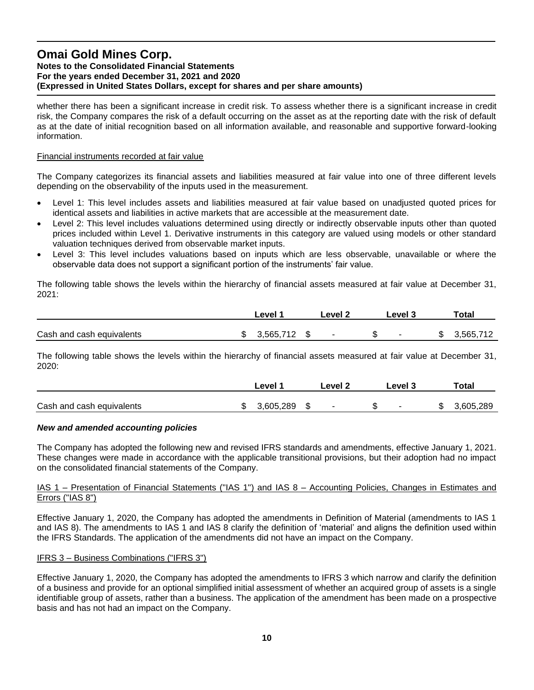## **Notes to the Consolidated Financial Statements For the years ended December 31, 2021 and 2020 (Expressed in United States Dollars, except for shares and per share amounts)**

whether there has been a significant increase in credit risk. To assess whether there is a significant increase in credit risk, the Company compares the risk of a default occurring on the asset as at the reporting date with the risk of default as at the date of initial recognition based on all information available, and reasonable and supportive forward-looking information.

## Financial instruments recorded at fair value

The Company categorizes its financial assets and liabilities measured at fair value into one of three different levels depending on the observability of the inputs used in the measurement.

- Level 1: This level includes assets and liabilities measured at fair value based on unadjusted quoted prices for identical assets and liabilities in active markets that are accessible at the measurement date.
- Level 2: This level includes valuations determined using directly or indirectly observable inputs other than quoted prices included within Level 1. Derivative instruments in this category are valued using models or other standard valuation techniques derived from observable market inputs.
- Level 3: This level includes valuations based on inputs which are less observable, unavailable or where the observable data does not support a significant portion of the instruments' fair value.

The following table shows the levels within the hierarchy of financial assets measured at fair value at December 31, 2021:

|                           | ∟evel 1   | Level 2 | Level 3                  | Total     |
|---------------------------|-----------|---------|--------------------------|-----------|
|                           |           |         |                          |           |
| Cash and cash equivalents | 3,565,712 |         | $\overline{\phantom{a}}$ | 3,565,712 |

The following table shows the levels within the hierarchy of financial assets measured at fair value at December 31, 2020:

|                           | ∟evel ′   | evel 2- | Level 3 |    | $\tau$ otal |
|---------------------------|-----------|---------|---------|----|-------------|
|                           |           |         |         |    |             |
| Cash and cash equivalents | 3,605,289 |         |         | κD | 3,605,289   |

## *New and amended accounting policies*

The Company has adopted the following new and revised IFRS standards and amendments, effective January 1, 2021. These changes were made in accordance with the applicable transitional provisions, but their adoption had no impact on the consolidated financial statements of the Company.

### IAS 1 – Presentation of Financial Statements ("IAS 1") and IAS 8 – Accounting Policies, Changes in Estimates and Errors ("IAS 8")

Effective January 1, 2020, the Company has adopted the amendments in Definition of Material (amendments to IAS 1 and IAS 8). The amendments to IAS 1 and IAS 8 clarify the definition of 'material' and aligns the definition used within the IFRS Standards. The application of the amendments did not have an impact on the Company.

## IFRS 3 – Business Combinations ("IFRS 3")

Effective January 1, 2020, the Company has adopted the amendments to IFRS 3 which narrow and clarify the definition of a business and provide for an optional simplified initial assessment of whether an acquired group of assets is a single identifiable group of assets, rather than a business. The application of the amendment has been made on a prospective basis and has not had an impact on the Company.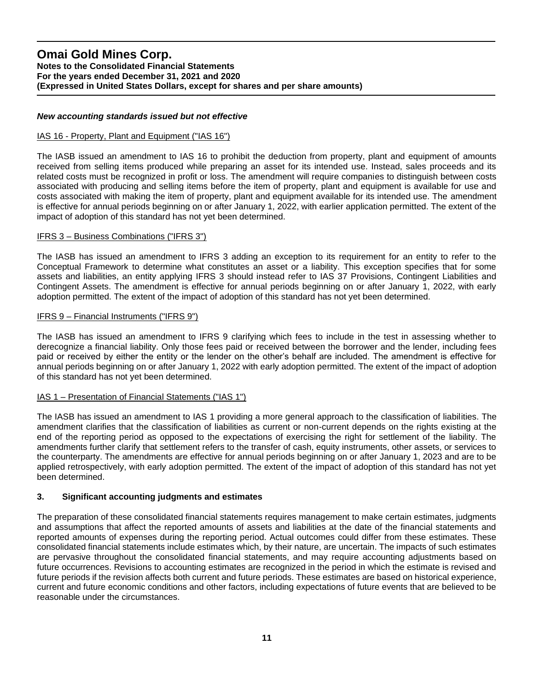### *New accounting standards issued but not effective*

## IAS 16 - Property, Plant and Equipment ("IAS 16")

The IASB issued an amendment to IAS 16 to prohibit the deduction from property, plant and equipment of amounts received from selling items produced while preparing an asset for its intended use. Instead, sales proceeds and its related costs must be recognized in profit or loss. The amendment will require companies to distinguish between costs associated with producing and selling items before the item of property, plant and equipment is available for use and costs associated with making the item of property, plant and equipment available for its intended use. The amendment is effective for annual periods beginning on or after January 1, 2022, with earlier application permitted. The extent of the impact of adoption of this standard has not yet been determined.

### IFRS 3 – Business Combinations ("IFRS 3")

The IASB has issued an amendment to IFRS 3 adding an exception to its requirement for an entity to refer to the Conceptual Framework to determine what constitutes an asset or a liability. This exception specifies that for some assets and liabilities, an entity applying IFRS 3 should instead refer to IAS 37 Provisions, Contingent Liabilities and Contingent Assets. The amendment is effective for annual periods beginning on or after January 1, 2022, with early adoption permitted. The extent of the impact of adoption of this standard has not yet been determined.

### IFRS 9 – Financial Instruments ("IFRS 9")

The IASB has issued an amendment to IFRS 9 clarifying which fees to include in the test in assessing whether to derecognize a financial liability. Only those fees paid or received between the borrower and the lender, including fees paid or received by either the entity or the lender on the other's behalf are included. The amendment is effective for annual periods beginning on or after January 1, 2022 with early adoption permitted. The extent of the impact of adoption of this standard has not yet been determined.

### IAS 1 – Presentation of Financial Statements ("IAS 1")

The IASB has issued an amendment to IAS 1 providing a more general approach to the classification of liabilities. The amendment clarifies that the classification of liabilities as current or non-current depends on the rights existing at the end of the reporting period as opposed to the expectations of exercising the right for settlement of the liability. The amendments further clarify that settlement refers to the transfer of cash, equity instruments, other assets, or services to the counterparty. The amendments are effective for annual periods beginning on or after January 1, 2023 and are to be applied retrospectively, with early adoption permitted. The extent of the impact of adoption of this standard has not yet been determined.

### **3. Significant accounting judgments and estimates**

The preparation of these consolidated financial statements requires management to make certain estimates, judgments and assumptions that affect the reported amounts of assets and liabilities at the date of the financial statements and reported amounts of expenses during the reporting period. Actual outcomes could differ from these estimates. These consolidated financial statements include estimates which, by their nature, are uncertain. The impacts of such estimates are pervasive throughout the consolidated financial statements, and may require accounting adjustments based on future occurrences. Revisions to accounting estimates are recognized in the period in which the estimate is revised and future periods if the revision affects both current and future periods. These estimates are based on historical experience, current and future economic conditions and other factors, including expectations of future events that are believed to be reasonable under the circumstances.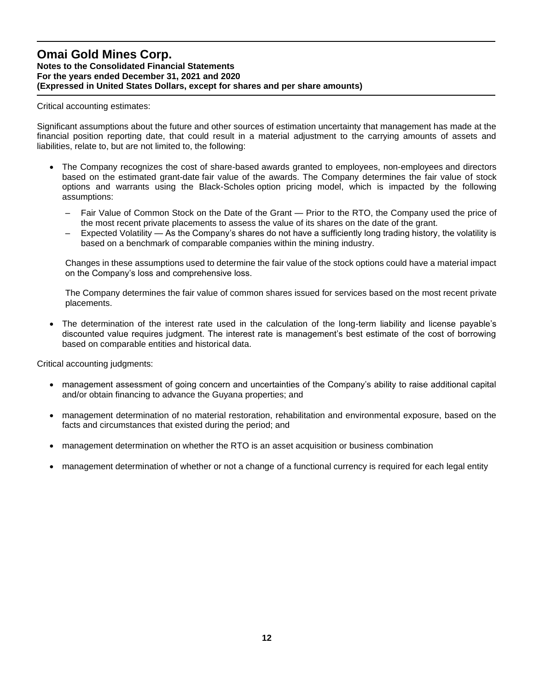Critical accounting estimates:

Significant assumptions about the future and other sources of estimation uncertainty that management has made at the financial position reporting date, that could result in a material adjustment to the carrying amounts of assets and liabilities, relate to, but are not limited to, the following:

- The Company recognizes the cost of share-based awards granted to employees, non-employees and directors based on the estimated grant-date fair value of the awards. The Company determines the fair value of stock options and warrants using the Black-Scholes option pricing model, which is impacted by the following assumptions:
	- Fair Value of Common Stock on the Date of the Grant Prior to the RTO, the Company used the price of the most recent private placements to assess the value of its shares on the date of the grant.
	- Expected Volatility As the Company's shares do not have a sufficiently long trading history, the volatility is based on a benchmark of comparable companies within the mining industry.

Changes in these assumptions used to determine the fair value of the stock options could have a material impact on the Company's loss and comprehensive loss.

The Company determines the fair value of common shares issued for services based on the most recent private placements.

• The determination of the interest rate used in the calculation of the long-term liability and license payable's discounted value requires judgment. The interest rate is management's best estimate of the cost of borrowing based on comparable entities and historical data.

Critical accounting judgments:

- management assessment of going concern and uncertainties of the Company's ability to raise additional capital and/or obtain financing to advance the Guyana properties; and
- management determination of no material restoration, rehabilitation and environmental exposure, based on the facts and circumstances that existed during the period; and
- management determination on whether the RTO is an asset acquisition or business combination
- management determination of whether or not a change of a functional currency is required for each legal entity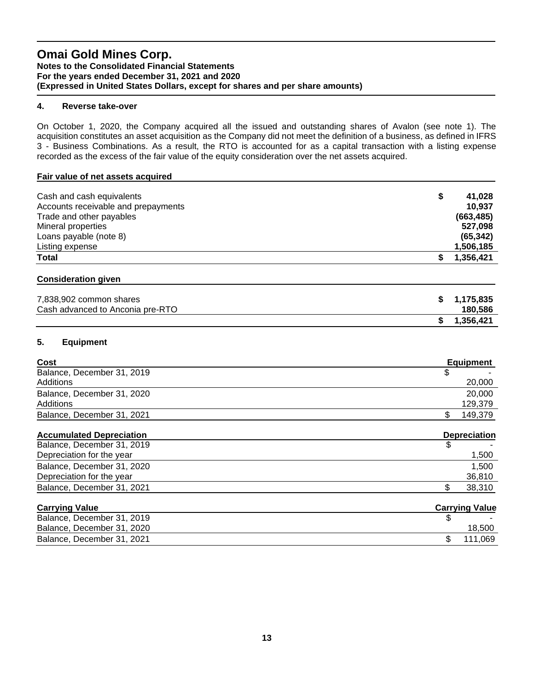## **4. Reverse take-over**

On October 1, 2020, the Company acquired all the issued and outstanding shares of Avalon (see note 1). The acquisition constitutes an asset acquisition as the Company did not meet the definition of a business, as defined in IFRS 3 - Business Combinations. As a result, the RTO is accounted for as a capital transaction with a listing expense recorded as the excess of the fair value of the equity consideration over the net assets acquired.

### **Fair value of net assets acquired**

| Cash and cash equivalents                                   | \$<br>41,028               |
|-------------------------------------------------------------|----------------------------|
| Accounts receivable and prepayments                         | 10,937                     |
| Trade and other payables                                    | (663, 485)                 |
| Mineral properties                                          | 527,098                    |
| Loans payable (note 8)                                      | (65, 342)                  |
| Listing expense                                             | 1,506,185                  |
| <b>Total</b>                                                | \$<br>1,356,421            |
| <b>Consideration given</b>                                  |                            |
|                                                             |                            |
| 7,838,902 common shares<br>Cash advanced to Anconia pre-RTO | \$<br>1,175,835<br>180,586 |
|                                                             | 1,356,421<br>\$            |
|                                                             |                            |
| 5.<br><b>Equipment</b>                                      |                            |
| Cost                                                        | <b>Equipment</b>           |
| Balance, December 31, 2019                                  | \$                         |
| Additions                                                   | 20,000                     |
| Balance, December 31, 2020                                  | 20,000                     |
| Additions                                                   | 129,379                    |
| Balance, December 31, 2021                                  | \$<br>149,379              |
| <b>Accumulated Depreciation</b>                             | <b>Depreciation</b>        |
| Balance, December 31, 2019                                  | \$                         |
| Depreciation for the year                                   | 1,500                      |
| Balance, December 31, 2020                                  | 1,500                      |
| Depreciation for the year                                   | 36,810                     |
| Balance, December 31, 2021                                  | \$<br>38,310               |
| <b>Carrying Value</b>                                       | <b>Carrying Value</b>      |
| Balance, December 31, 2019                                  | \$                         |
| Balance, December 31, 2020                                  | 18,500                     |

Balance, December 31, 2021 **6: 111,069 \$ 111,069**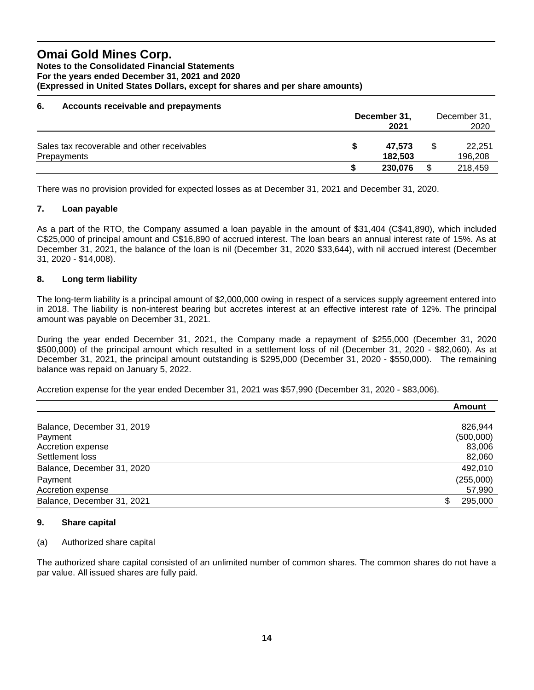**Notes to the Consolidated Financial Statements For the years ended December 31, 2021 and 2020 (Expressed in United States Dollars, except for shares and per share amounts)**

### **6. Accounts receivable and prepayments**

|                                                            |   | December 31,<br>2021 |    |                   |  |  |
|------------------------------------------------------------|---|----------------------|----|-------------------|--|--|
| Sales tax recoverable and other receivables<br>Prepayments | S | 47.573<br>182.503    |    | 22,251<br>196,208 |  |  |
|                                                            |   | 230,076              | \$ | 218,459           |  |  |

There was no provision provided for expected losses as at December 31, 2021 and December 31, 2020.

### **7. Loan payable**

As a part of the RTO, the Company assumed a loan payable in the amount of \$31,404 (C\$41,890), which included C\$25,000 of principal amount and C\$16,890 of accrued interest. The loan bears an annual interest rate of 15%. As at December 31, 2021, the balance of the loan is nil (December 31, 2020 \$33,644), with nil accrued interest (December 31, 2020 - \$14,008).

## **8. Long term liability**

The long-term liability is a principal amount of \$2,000,000 owing in respect of a services supply agreement entered into in 2018. The liability is non-interest bearing but accretes interest at an effective interest rate of 12%. The principal amount was payable on December 31, 2021.

During the year ended December 31, 2021, the Company made a repayment of \$255,000 (December 31, 2020 \$500,000) of the principal amount which resulted in a settlement loss of nil (December 31, 2020 - \$82,060). As at December 31, 2021, the principal amount outstanding is \$295,000 (December 31, 2020 - \$550,000). The remaining balance was repaid on January 5, 2022.

Accretion expense for the year ended December 31, 2021 was \$57,990 (December 31, 2020 - \$83,006).

|                            | <b>Amount</b> |
|----------------------------|---------------|
|                            |               |
| Balance, December 31, 2019 | 826,944       |
| Payment                    | (500,000)     |
| Accretion expense          | 83,006        |
| Settlement loss            | 82,060        |
| Balance, December 31, 2020 | 492,010       |
| Payment                    | (255,000)     |
| Accretion expense          | 57,990        |
| Balance, December 31, 2021 | \$<br>295,000 |

### **9. Share capital**

### (a) Authorized share capital

The authorized share capital consisted of an unlimited number of common shares. The common shares do not have a par value. All issued shares are fully paid.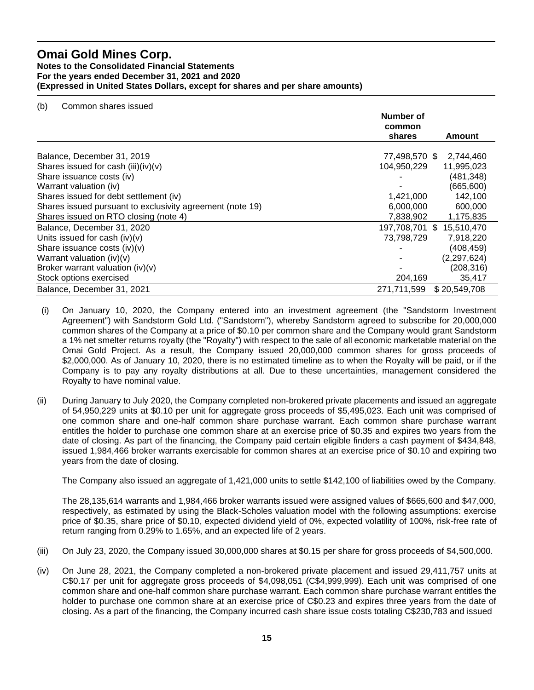## **Notes to the Consolidated Financial Statements For the years ended December 31, 2021 and 2020 (Expressed in United States Dollars, except for shares and per share amounts)**

### (b) Common shares issued

|                                                           | Number of<br>common |               |
|-----------------------------------------------------------|---------------------|---------------|
|                                                           | shares              | Amount        |
| Balance, December 31, 2019                                | 77,498,570 \$       | 2,744,460     |
| Shares issued for cash $(iii)(iv)(v)$                     | 104,950,229         | 11,995,023    |
| Share issuance costs (iv)                                 |                     | (481,348)     |
| Warrant valuation (iv)                                    |                     | (665, 600)    |
| Shares issued for debt settlement (iv)                    | 1,421,000           | 142,100       |
| Shares issued pursuant to exclusivity agreement (note 19) | 6,000,000           | 600,000       |
| Shares issued on RTO closing (note 4)                     | 7,838,902           | 1,175,835     |
| Balance, December 31, 2020                                | 197,708,701 \$      | 15,510,470    |
| Units issued for cash $(iv)(v)$                           | 73,798,729          | 7,918,220     |
| Share issuance costs $(iv)(v)$                            |                     | (408,459)     |
| Warrant valuation $(iv)(v)$                               |                     | (2, 297, 624) |
| Broker warrant valuation $(iv)(v)$                        |                     | (208, 316)    |
| Stock options exercised                                   | 204.169             | 35,417        |
| Balance, December 31, 2021                                | 271,711,599         | \$20,549,708  |

- (i) On January 10, 2020, the Company entered into an investment agreement (the "Sandstorm Investment Agreement") with Sandstorm Gold Ltd. ("Sandstorm"), whereby Sandstorm agreed to subscribe for 20,000,000 common shares of the Company at a price of \$0.10 per common share and the Company would grant Sandstorm a 1% net smelter returns royalty (the "Royalty") with respect to the sale of all economic marketable material on the Omai Gold Project. As a result, the Company issued 20,000,000 common shares for gross proceeds of \$2,000,000. As of January 10, 2020, there is no estimated timeline as to when the Royalty will be paid, or if the Company is to pay any royalty distributions at all. Due to these uncertainties, management considered the Royalty to have nominal value.
- (ii) During January to July 2020, the Company completed non-brokered private placements and issued an aggregate of 54,950,229 units at \$0.10 per unit for aggregate gross proceeds of \$5,495,023. Each unit was comprised of one common share and one-half common share purchase warrant. Each common share purchase warrant entitles the holder to purchase one common share at an exercise price of \$0.35 and expires two years from the date of closing. As part of the financing, the Company paid certain eligible finders a cash payment of \$434,848, issued 1,984,466 broker warrants exercisable for common shares at an exercise price of \$0.10 and expiring two years from the date of closing.

The Company also issued an aggregate of 1,421,000 units to settle \$142,100 of liabilities owed by the Company.

The 28,135,614 warrants and 1,984,466 broker warrants issued were assigned values of \$665,600 and \$47,000, respectively, as estimated by using the Black-Scholes valuation model with the following assumptions: exercise price of \$0.35, share price of \$0.10, expected dividend yield of 0%, expected volatility of 100%, risk-free rate of return ranging from 0.29% to 1.65%, and an expected life of 2 years.

- (iii) On July 23, 2020, the Company issued 30,000,000 shares at \$0.15 per share for gross proceeds of \$4,500,000.
- (iv) On June 28, 2021, the Company completed a non-brokered private placement and issued 29,411,757 units at C\$0.17 per unit for aggregate gross proceeds of \$4,098,051 (C\$4,999,999). Each unit was comprised of one common share and one-half common share purchase warrant. Each common share purchase warrant entitles the holder to purchase one common share at an exercise price of C\$0.23 and expires three years from the date of closing. As a part of the financing, the Company incurred cash share issue costs totaling C\$230,783 and issued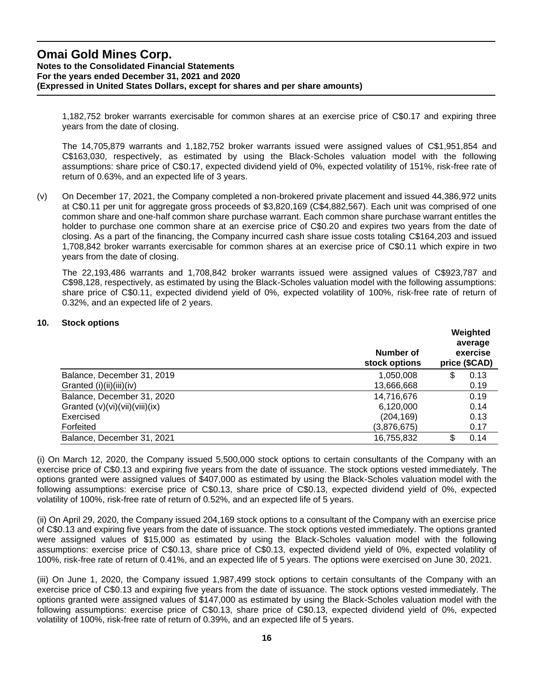1,182,752 broker warrants exercisable for common shares at an exercise price of C\$0.17 and expiring three years from the date of closing.

The 14,705,879 warrants and 1,182,752 broker warrants issued were assigned values of C\$1,951,854 and C\$163,030, respectively, as estimated by using the Black-Scholes valuation model with the following assumptions: share price of C\$0.17, expected dividend yield of 0%, expected volatility of 151%, risk-free rate of return of 0.63%, and an expected life of 3 years.

(v) On December 17, 2021, the Company completed a non-brokered private placement and issued 44,386,972 units at C\$0.11 per unit for aggregate gross proceeds of \$3,820,169 (C\$4,882,567). Each unit was comprised of one common share and one-half common share purchase warrant. Each common share purchase warrant entitles the holder to purchase one common share at an exercise price of C\$0.20 and expires two years from the date of closing. As a part of the financing, the Company incurred cash share issue costs totaling C\$164,203 and issued 1,708,842 broker warrants exercisable for common shares at an exercise price of C\$0.11 which expire in two years from the date of closing.

The 22,193,486 warrants and 1,708,842 broker warrants issued were assigned values of C\$923,787 and C\$98,128, respectively, as estimated by using the Black-Scholes valuation model with the following assumptions: share price of C\$0.11, expected dividend yield of 0%, expected volatility of 100%, risk-free rate of return of 0.32%, and an expected life of 2 years.

### **10. Stock options**

|                                | Number of<br>stock options |    | Weighted<br>average<br>exercise<br>price (\$CAD) |
|--------------------------------|----------------------------|----|--------------------------------------------------|
| Balance, December 31, 2019     | 1,050,008                  | \$ | 0.13                                             |
| Granted (i)(ii)(iii)(iv)       | 13,666,668                 |    | 0.19                                             |
| Balance, December 31, 2020     | 14,716,676                 |    | 0.19                                             |
| Granted (v)(vi)(vii)(viii)(ix) | 6,120,000                  |    | 0.14                                             |
| Exercised                      | (204, 169)                 |    | 0.13                                             |
| Forfeited                      | (3,876,675)                |    | 0.17                                             |
| Balance, December 31, 2021     | 16,755,832                 | S  | 0.14                                             |

(i) On March 12, 2020, the Company issued 5,500,000 stock options to certain consultants of the Company with an exercise price of C\$0.13 and expiring five years from the date of issuance. The stock options vested immediately. The options granted were assigned values of \$407,000 as estimated by using the Black-Scholes valuation model with the following assumptions: exercise price of C\$0.13, share price of C\$0.13, expected dividend yield of 0%, expected volatility of 100%, risk-free rate of return of 0.52%, and an expected life of 5 years.

(ii) On April 29, 2020, the Company issued 204,169 stock options to a consultant of the Company with an exercise price of C\$0.13 and expiring five years from the date of issuance. The stock options vested immediately. The options granted were assigned values of \$15,000 as estimated by using the Black-Scholes valuation model with the following assumptions: exercise price of C\$0.13, share price of C\$0.13, expected dividend yield of 0%, expected volatility of 100%, risk-free rate of return of 0.41%, and an expected life of 5 years. The options were exercised on June 30, 2021.

(iii) On June 1, 2020, the Company issued 1,987,499 stock options to certain consultants of the Company with an exercise price of C\$0.13 and expiring five years from the date of issuance. The stock options vested immediately. The options granted were assigned values of \$147,000 as estimated by using the Black-Scholes valuation model with the following assumptions: exercise price of C\$0.13, share price of C\$0.13, expected dividend yield of 0%, expected volatility of 100%, risk-free rate of return of 0.39%, and an expected life of 5 years.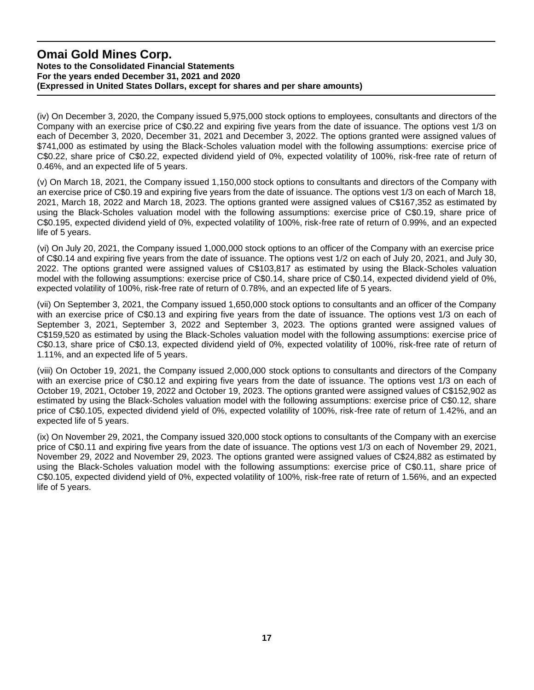(iv) On December 3, 2020, the Company issued 5,975,000 stock options to employees, consultants and directors of the Company with an exercise price of C\$0.22 and expiring five years from the date of issuance. The options vest 1/3 on each of December 3, 2020, December 31, 2021 and December 3, 2022. The options granted were assigned values of \$741,000 as estimated by using the Black-Scholes valuation model with the following assumptions: exercise price of C\$0.22, share price of C\$0.22, expected dividend yield of 0%, expected volatility of 100%, risk-free rate of return of 0.46%, and an expected life of 5 years.

(v) On March 18, 2021, the Company issued 1,150,000 stock options to consultants and directors of the Company with an exercise price of C\$0.19 and expiring five years from the date of issuance. The options vest 1/3 on each of March 18, 2021, March 18, 2022 and March 18, 2023. The options granted were assigned values of C\$167,352 as estimated by using the Black-Scholes valuation model with the following assumptions: exercise price of C\$0.19, share price of C\$0.195, expected dividend yield of 0%, expected volatility of 100%, risk-free rate of return of 0.99%, and an expected life of 5 years.

(vi) On July 20, 2021, the Company issued 1,000,000 stock options to an officer of the Company with an exercise price of C\$0.14 and expiring five years from the date of issuance. The options vest 1/2 on each of July 20, 2021, and July 30, 2022. The options granted were assigned values of C\$103,817 as estimated by using the Black-Scholes valuation model with the following assumptions: exercise price of C\$0.14, share price of C\$0.14, expected dividend yield of 0%, expected volatility of 100%, risk-free rate of return of 0.78%, and an expected life of 5 years.

(vii) On September 3, 2021, the Company issued 1,650,000 stock options to consultants and an officer of the Company with an exercise price of C\$0.13 and expiring five years from the date of issuance. The options vest 1/3 on each of September 3, 2021, September 3, 2022 and September 3, 2023. The options granted were assigned values of C\$159,520 as estimated by using the Black-Scholes valuation model with the following assumptions: exercise price of C\$0.13, share price of C\$0.13, expected dividend yield of 0%, expected volatility of 100%, risk-free rate of return of 1.11%, and an expected life of 5 years.

(viii) On October 19, 2021, the Company issued 2,000,000 stock options to consultants and directors of the Company with an exercise price of C\$0.12 and expiring five years from the date of issuance. The options vest 1/3 on each of October 19, 2021, October 19, 2022 and October 19, 2023. The options granted were assigned values of C\$152,902 as estimated by using the Black-Scholes valuation model with the following assumptions: exercise price of C\$0.12, share price of C\$0.105, expected dividend yield of 0%, expected volatility of 100%, risk-free rate of return of 1.42%, and an expected life of 5 years.

(ix) On November 29, 2021, the Company issued 320,000 stock options to consultants of the Company with an exercise price of C\$0.11 and expiring five years from the date of issuance. The options vest 1/3 on each of November 29, 2021, November 29, 2022 and November 29, 2023. The options granted were assigned values of C\$24,882 as estimated by using the Black-Scholes valuation model with the following assumptions: exercise price of C\$0.11, share price of C\$0.105, expected dividend yield of 0%, expected volatility of 100%, risk-free rate of return of 1.56%, and an expected life of 5 years.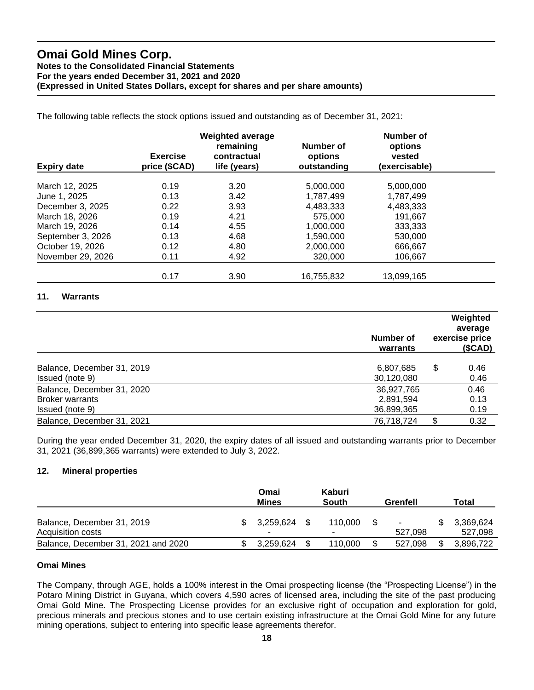The following table reflects the stock options issued and outstanding as of December 31, 2021:

| <b>Expiry date</b> | <b>Exercise</b><br>price (\$CAD) | <b>Weighted average</b><br>remaining<br>contractual<br>life (years) | Number of<br>options<br>outstanding | Number of<br>options<br>vested<br>(exercisable) |  |
|--------------------|----------------------------------|---------------------------------------------------------------------|-------------------------------------|-------------------------------------------------|--|
| March 12, 2025     | 0.19                             | 3.20                                                                | 5,000,000                           | 5,000,000                                       |  |
| June 1, 2025       | 0.13                             | 3.42                                                                | 1,787,499                           | 1,787,499                                       |  |
| December 3, 2025   | 0.22                             | 3.93                                                                | 4,483,333                           | 4,483,333                                       |  |
| March 18, 2026     | 0.19                             | 4.21                                                                | 575,000                             | 191,667                                         |  |
| March 19, 2026     | 0.14                             | 4.55                                                                | 1.000.000                           | 333,333                                         |  |
| September 3, 2026  | 0.13                             | 4.68                                                                | 1.590.000                           | 530,000                                         |  |
| October 19, 2026   | 0.12                             | 4.80                                                                | 2,000,000                           | 666,667                                         |  |
| November 29, 2026  | 0.11                             | 4.92                                                                | 320,000                             | 106,667                                         |  |
|                    | 0.17                             | 3.90                                                                | 16.755.832                          | 13.099.165                                      |  |

## **11. Warrants**

| Balance, December 31, 2019<br>Issued (note 9)                           | Number of<br>warrants                 | Weighted<br>average<br>exercise price<br>(SCAD) |                      |  |
|-------------------------------------------------------------------------|---------------------------------------|-------------------------------------------------|----------------------|--|
|                                                                         | 6,807,685<br>30,120,080               | S                                               | 0.46<br>0.46         |  |
| Balance, December 31, 2020<br><b>Broker warrants</b><br>Issued (note 9) | 36,927,765<br>2,891,594<br>36,899,365 |                                                 | 0.46<br>0.13<br>0.19 |  |
| Balance, December 31, 2021                                              | 76,718,724                            |                                                 | 0.32                 |  |

During the year ended December 31, 2020, the expiry dates of all issued and outstanding warrants prior to December 31, 2021 (36,899,365 warrants) were extended to July 3, 2022.

## **12. Mineral properties**

|                                                 | Omai<br><b>Mines</b> |      | Kaburi<br>South | Grenfell     |     | Total                |
|-------------------------------------------------|----------------------|------|-----------------|--------------|-----|----------------------|
| Balance, December 31, 2019<br>Acquisition costs | 3.259.624            | - \$ | 110.000<br>۰    | ۰<br>527.098 |     | 3.369.624<br>527,098 |
| Balance, December 31, 2021 and 2020             | 3.259.624            |      | 110.000         | 527.098      | \$. | 3.896.722            |

## **Omai Mines**

The Company, through AGE, holds a 100% interest in the Omai prospecting license (the "Prospecting License") in the Potaro Mining District in Guyana, which covers 4,590 acres of licensed area, including the site of the past producing Omai Gold Mine. The Prospecting License provides for an exclusive right of occupation and exploration for gold, precious minerals and precious stones and to use certain existing infrastructure at the Omai Gold Mine for any future mining operations, subject to entering into specific lease agreements therefor.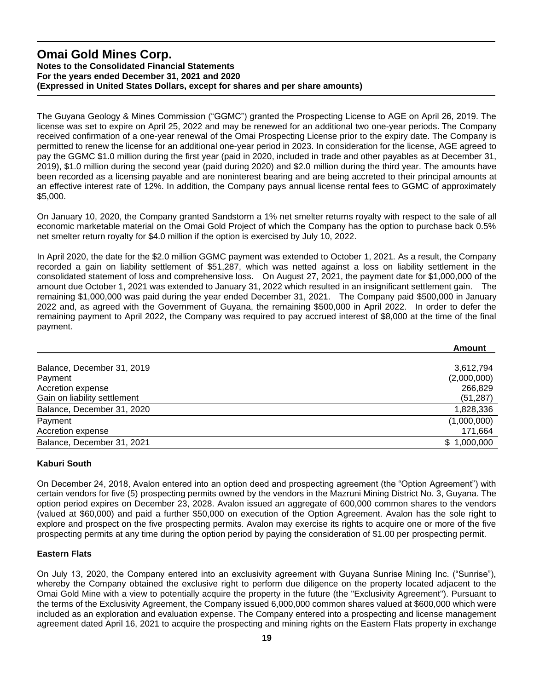The Guyana Geology & Mines Commission ("GGMC") granted the Prospecting License to AGE on April 26, 2019. The license was set to expire on April 25, 2022 and may be renewed for an additional two one-year periods. The Company received confirmation of a one-year renewal of the Omai Prospecting License prior to the expiry date. The Company is permitted to renew the license for an additional one-year period in 2023. In consideration for the license, AGE agreed to pay the GGMC \$1.0 million during the first year (paid in 2020, included in trade and other payables as at December 31, 2019), \$1.0 million during the second year (paid during 2020) and \$2.0 million during the third year. The amounts have been recorded as a licensing payable and are noninterest bearing and are being accreted to their principal amounts at an effective interest rate of 12%. In addition, the Company pays annual license rental fees to GGMC of approximately \$5,000.

On January 10, 2020, the Company granted Sandstorm a 1% net smelter returns royalty with respect to the sale of all economic marketable material on the Omai Gold Project of which the Company has the option to purchase back 0.5% net smelter return royalty for \$4.0 million if the option is exercised by July 10, 2022.

In April 2020, the date for the \$2.0 million GGMC payment was extended to October 1, 2021. As a result, the Company recorded a gain on liability settlement of \$51,287, which was netted against a loss on liability settlement in the consolidated statement of loss and comprehensive loss. On August 27, 2021, the payment date for \$1,000,000 of the amount due October 1, 2021 was extended to January 31, 2022 which resulted in an insignificant settlement gain. The remaining \$1,000,000 was paid during the year ended December 31, 2021. The Company paid \$500,000 in January 2022 and, as agreed with the Government of Guyana, the remaining \$500,000 in April 2022. In order to defer the remaining payment to April 2022, the Company was required to pay accrued interest of \$8,000 at the time of the final payment.

|                              | Amount      |
|------------------------------|-------------|
|                              |             |
| Balance, December 31, 2019   | 3,612,794   |
| Payment                      | (2,000,000) |
| Accretion expense            | 266,829     |
| Gain on liability settlement | (51, 287)   |
| Balance, December 31, 2020   | 1,828,336   |
| Payment                      | (1,000,000) |
| Accretion expense            | 171,664     |
| Balance, December 31, 2021   | \$1,000,000 |
|                              |             |

## **Kaburi South**

On December 24, 2018, Avalon entered into an option deed and prospecting agreement (the "Option Agreement") with certain vendors for five (5) prospecting permits owned by the vendors in the Mazruni Mining District No. 3, Guyana. The option period expires on December 23, 2028. Avalon issued an aggregate of 600,000 common shares to the vendors (valued at \$60,000) and paid a further \$50,000 on execution of the Option Agreement. Avalon has the sole right to explore and prospect on the five prospecting permits. Avalon may exercise its rights to acquire one or more of the five prospecting permits at any time during the option period by paying the consideration of \$1.00 per prospecting permit.

## **Eastern Flats**

On July 13, 2020, the Company entered into an exclusivity agreement with Guyana Sunrise Mining Inc. ("Sunrise"), whereby the Company obtained the exclusive right to perform due diligence on the property located adjacent to the Omai Gold Mine with a view to potentially acquire the property in the future (the "Exclusivity Agreement"). Pursuant to the terms of the Exclusivity Agreement, the Company issued 6,000,000 common shares valued at \$600,000 which were included as an exploration and evaluation expense. The Company entered into a prospecting and license management agreement dated April 16, 2021 to acquire the prospecting and mining rights on the Eastern Flats property in exchange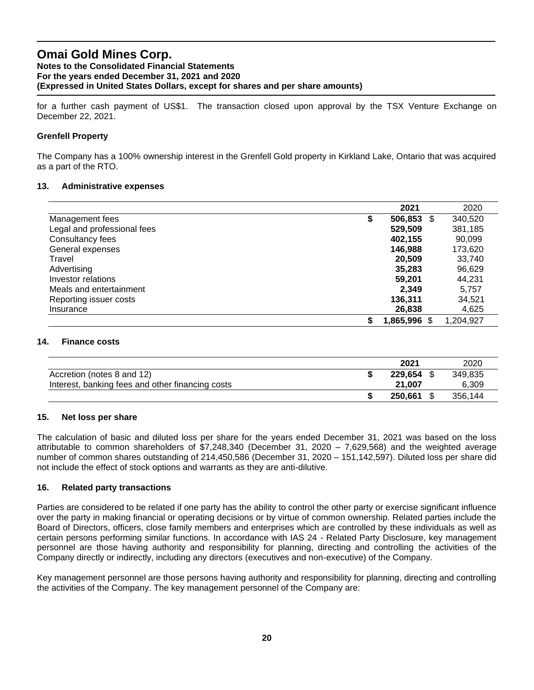## **Notes to the Consolidated Financial Statements For the years ended December 31, 2021 and 2020 (Expressed in United States Dollars, except for shares and per share amounts)**

for a further cash payment of US\$1. The transaction closed upon approval by the TSX Venture Exchange on December 22, 2021.

## **Grenfell Property**

The Company has a 100% ownership interest in the Grenfell Gold property in Kirkland Lake, Ontario that was acquired as a part of the RTO.

## **13. Administrative expenses**

|                             | 2021             | 2020      |
|-----------------------------|------------------|-----------|
| Management fees             | \$<br>506,853 \$ | 340,520   |
| Legal and professional fees | 529.509          | 381,185   |
| Consultancy fees            | 402,155          | 90.099    |
| General expenses            | 146.988          | 173,620   |
| Travel                      | 20,509           | 33,740    |
| Advertising                 | 35,283           | 96,629    |
| Investor relations          | 59.201           | 44,231    |
| Meals and entertainment     | 2.349            | 5,757     |
| Reporting issuer costs      | 136,311          | 34,521    |
| Insurance                   | 26,838           | 4,625     |
|                             | 1,865,996        | 1.204.927 |

## **14. Finance costs**

|                                                  | 2021    | 2020    |
|--------------------------------------------------|---------|---------|
| Accretion (notes 8 and 12)                       | 229.654 | 349,835 |
| Interest, banking fees and other financing costs | 21.007  | 6,309   |
|                                                  | 250.661 | 356.144 |

## **15. Net loss per share**

The calculation of basic and diluted loss per share for the years ended December 31, 2021 was based on the loss attributable to common shareholders of \$7,248,340 (December 31, 2020 – 7,629,568) and the weighted average number of common shares outstanding of 214,450,586 (December 31, 2020 – 151,142,597). Diluted loss per share did not include the effect of stock options and warrants as they are anti-dilutive.

## **16. Related party transactions**

Parties are considered to be related if one party has the ability to control the other party or exercise significant influence over the party in making financial or operating decisions or by virtue of common ownership. Related parties include the Board of Directors, officers, close family members and enterprises which are controlled by these individuals as well as certain persons performing similar functions. In accordance with IAS 24 - Related Party Disclosure, key management personnel are those having authority and responsibility for planning, directing and controlling the activities of the Company directly or indirectly, including any directors (executives and non-executive) of the Company.

Key management personnel are those persons having authority and responsibility for planning, directing and controlling the activities of the Company. The key management personnel of the Company are: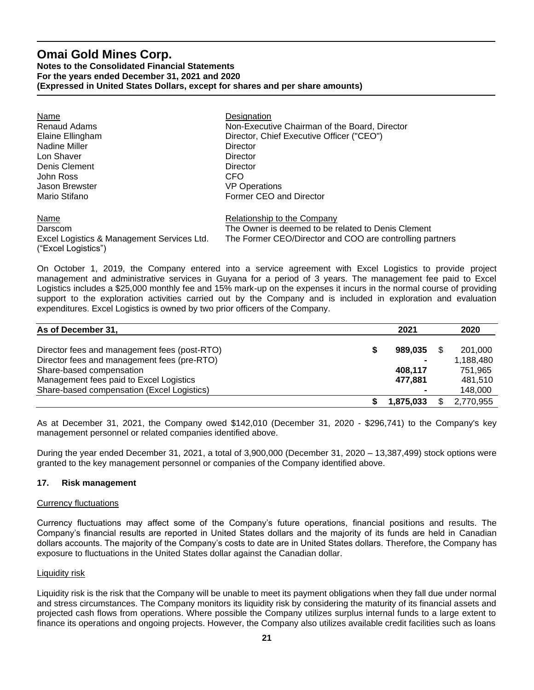| Name                                                              | Designation                                              |
|-------------------------------------------------------------------|----------------------------------------------------------|
| Renaud Adams                                                      | Non-Executive Chairman of the Board, Director            |
| Elaine Ellingham                                                  | Director, Chief Executive Officer ("CEO")                |
| Nadine Miller                                                     | Director                                                 |
| Lon Shaver                                                        | Director                                                 |
| Denis Clement                                                     | Director                                                 |
| John Ross                                                         | <b>CFO</b>                                               |
| Jason Brewster                                                    | <b>VP Operations</b>                                     |
| Mario Stifano                                                     | Former CEO and Director                                  |
| Name                                                              | Relationship to the Company                              |
| Darscom                                                           | The Owner is deemed to be related to Denis Clement       |
| Excel Logistics & Management Services Ltd.<br>("Excel Logistics") | The Former CEO/Director and COO are controlling partners |

On October 1, 2019, the Company entered into a service agreement with Excel Logistics to provide project management and administrative services in Guyana for a period of 3 years. The management fee paid to Excel Logistics includes a \$25,000 monthly fee and 15% mark-up on the expenses it incurs in the normal course of providing support to the exploration activities carried out by the Company and is included in exploration and evaluation expenditures. Excel Logistics is owned by two prior officers of the Company.

| As of December 31,                           | 2021      | 2020      |
|----------------------------------------------|-----------|-----------|
| Director fees and management fees (post-RTO) | 989.035   | 201,000   |
|                                              |           |           |
| Director fees and management fees (pre-RTO)  |           | 1,188,480 |
| Share-based compensation                     | 408.117   | 751,965   |
| Management fees paid to Excel Logistics      | 477.881   | 481.510   |
| Share-based compensation (Excel Logistics)   |           | 148,000   |
|                                              | 1.875.033 | 2,770,955 |

As at December 31, 2021, the Company owed \$142,010 (December 31, 2020 - \$296,741) to the Company's key management personnel or related companies identified above.

During the year ended December 31, 2021, a total of 3,900,000 (December 31, 2020 – 13,387,499) stock options were granted to the key management personnel or companies of the Company identified above.

### **17. Risk management**

### Currency fluctuations

Currency fluctuations may affect some of the Company's future operations, financial positions and results. The Company's financial results are reported in United States dollars and the majority of its funds are held in Canadian dollars accounts. The majority of the Company's costs to date are in United States dollars. Therefore, the Company has exposure to fluctuations in the United States dollar against the Canadian dollar.

### Liquidity risk

Liquidity risk is the risk that the Company will be unable to meet its payment obligations when they fall due under normal and stress circumstances. The Company monitors its liquidity risk by considering the maturity of its financial assets and projected cash flows from operations. Where possible the Company utilizes surplus internal funds to a large extent to finance its operations and ongoing projects. However, the Company also utilizes available credit facilities such as loans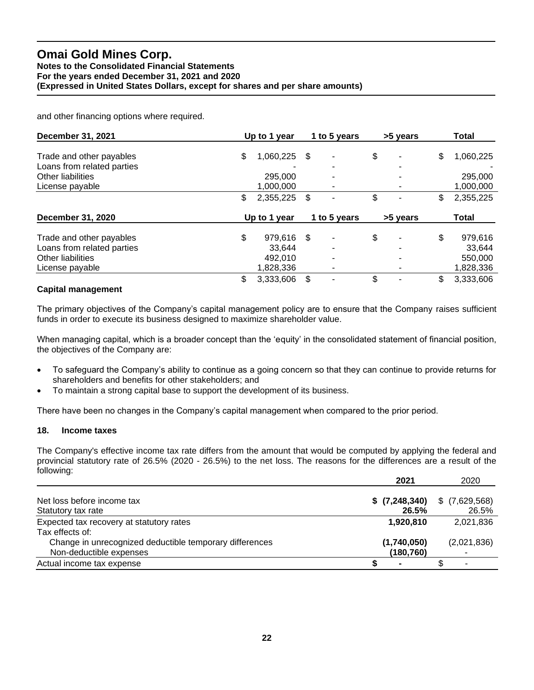## **Notes to the Consolidated Financial Statements For the years ended December 31, 2021 and 2020 (Expressed in United States Dollars, except for shares and per share amounts)**

and other financing options where required.

| December 31, 2021          | Up to 1 year       |      | 1 to 5 years | >5 years | <b>Total</b>    |
|----------------------------|--------------------|------|--------------|----------|-----------------|
| Trade and other payables   | \$<br>1,060,225 \$ |      |              | \$       | \$<br>1,060,225 |
| Loans from related parties |                    |      | ۰            |          |                 |
| Other liabilities          | 295,000            |      | ۰            |          | 295,000         |
| License payable            | 1,000,000          |      | ۰            |          | 1,000,000       |
|                            | \$<br>2,355,225    | - \$ |              | \$       | \$<br>2,355,225 |
| December 31, 2020          | Up to 1 year       |      | 1 to 5 years | >5 years | Total           |
| Trade and other payables   | \$<br>979,616 \$   |      |              | \$       | \$<br>979,616   |
| Loans from related parties | 33.644             |      |              |          | 33,644          |
| Other liabilities          | 492,010            |      | ۰            |          | 550,000         |
| License payable            | 1,828,336          |      | ٠            |          | 1,828,336       |
|                            | 3,333,606          |      |              | \$       | \$<br>3,333,606 |

### **Capital management**

The primary objectives of the Company's capital management policy are to ensure that the Company raises sufficient funds in order to execute its business designed to maximize shareholder value.

When managing capital, which is a broader concept than the 'equity' in the consolidated statement of financial position, the objectives of the Company are:

- To safeguard the Company's ability to continue as a going concern so that they can continue to provide returns for shareholders and benefits for other stakeholders; and
- To maintain a strong capital base to support the development of its business.

There have been no changes in the Company's capital management when compared to the prior period.

#### **18. Income taxes**

The Company's effective income tax rate differs from the amount that would be computed by applying the federal and provincial statutory rate of 26.5% (2020 - 26.5%) to the net loss. The reasons for the differences are a result of the following:

|                                                                                    | 2021                      |    | 2020                 |
|------------------------------------------------------------------------------------|---------------------------|----|----------------------|
| Net loss before income tax<br>Statutory tax rate                                   | \$ (7,248,340)<br>26.5%   | S. | (7,629,568)<br>26.5% |
| Expected tax recovery at statutory rates<br>Tax effects of:                        | 1,920,810                 |    | 2,021,836            |
| Change in unrecognized deductible temporary differences<br>Non-deductible expenses | (1,740,050)<br>(180, 760) |    | (2,021,836)          |
| Actual income tax expense                                                          |                           |    |                      |